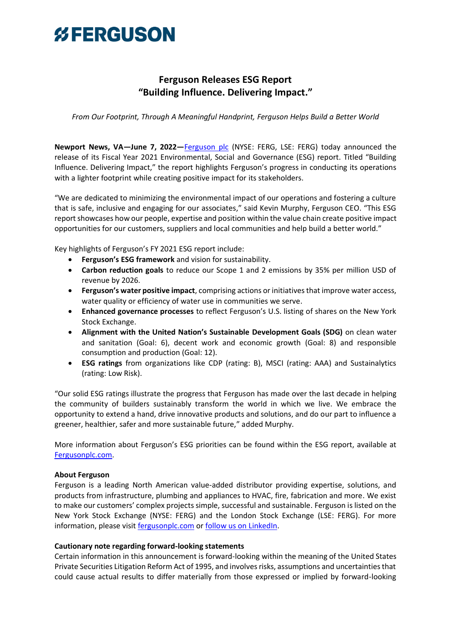## *%FERGUSON*

### **Ferguson Releases ESG Report "Building Influence. Delivering Impact."**

*From Our Footprint, Through A Meaningful Handprint, Ferguson Helps Build a Better World*

**Newport News, VA—June 7, 2022—**[Ferguson](http://www.fergusonplc.com/) plc (NYSE: FERG, LSE: FERG) today announced the release of its Fiscal Year 2021 Environmental, Social and Governance (ESG) report. Titled "Building Influence. Delivering Impact," the report highlights Ferguson's progress in conducting its operations with a lighter footprint while creating positive impact for its stakeholders.

"We are dedicated to minimizing the environmental impact of our operations and fostering a culture that is safe, inclusive and engaging for our associates," said Kevin Murphy, Ferguson CEO. "This ESG report showcases how our people, expertise and position within the value chain create positive impact opportunities for our customers, suppliers and local communities and help build a better world."

Key highlights of Ferguson's FY 2021 ESG report include:

- **Ferguson's ESG framework** and vision for sustainability.
- **Carbon reduction goals** to reduce our Scope 1 and 2 emissions by 35% per million USD of revenue by 2026.
- **Ferguson's water positive impact**, comprising actions or initiatives that improve water access, water quality or efficiency of water use in communities we serve.
- **Enhanced governance processes** to reflect Ferguson's U.S. listing of shares on the New York Stock Exchange.
- **Alignment with the United Nation's Sustainable Development Goals (SDG)** on clean water and sanitation (Goal: 6), decent work and economic growth (Goal: 8) and responsible consumption and production (Goal: 12).
- **ESG ratings** from organizations like CDP (rating: B), MSCI (rating: AAA) and Sustainalytics (rating: Low Risk).

"Our solid ESG ratings illustrate the progress that Ferguson has made over the last decade in helping the community of builders sustainably transform the world in which we live. We embrace the opportunity to extend a hand, drive innovative products and solutions, and do our part to influence a greener, healthier, safer and more sustainable future," added Murphy.

More information about Ferguson's ESG priorities can be found within the ESG report, available at [Fergusonplc.com.](http://www.fergusonplc.com/)

### **About Ferguson**

Ferguson is a leading North American value-added distributor providing expertise, solutions, and products from infrastructure, plumbing and appliances to HVAC, fire, fabrication and more. We exist to make our customers' complex projects simple, successful and sustainable. Ferguson is listed on the New York Stock Exchange (NYSE: FERG) and the London Stock Exchange (LSE: FERG). For more information, please visit [fergusonplc.com](https://www.fergusonplc.com/en/index.html) or [follow us on LinkedIn.](http://www.linkedin.com/company/ferguson-enterprises)

### **Cautionary note regarding forward-looking statements**

Certain information in this announcement is forward-looking within the meaning of the United States Private Securities Litigation Reform Act of 1995, and involves risks, assumptions and uncertainties that could cause actual results to differ materially from those expressed or implied by forward-looking